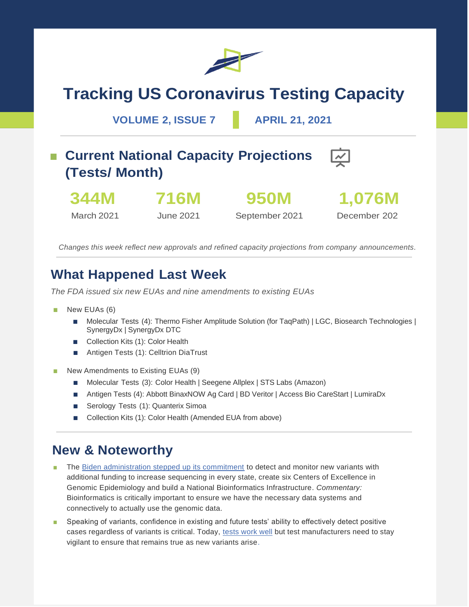

# **Tracking US Coronavirus Testing Capacity**

**VOLUME 2, ISSUE 7 APRIL 21, 2021**

## ■ **Current National Capacity Projections (Tests/ Month)**



**716M**



March 2021

June 2021

**950M** September 2021

December 202

*Changes this week reflect new approvals and refined capacity projections from company announcements.*

### **What Happened Last Week**

*The FDA issued six new EUAs and nine amendments to existing EUAs*

- New EUAs (6)
	- Molecular Tests (4): Thermo Fisher Amplitude Solution (for TaqPath) | LGC, Biosearch Technologies | SynergyDx | SynergyDx DTC
	- Collection Kits (1): Color Health
	- Antigen Tests (1): Celltrion DiaTrust
- New Amendments to Existing EUAs (9)
	- Molecular Tests (3): Color Health | Seegene Allplex | STS Labs (Amazon)
	- Antigen Tests (4): Abbott BinaxNOW Ag Card | BD Veritor | Access Bio CareStart | LumiraDx
	- Serology Tests (1): Quanterix Simoa
	- Collection Kits (1): Color Health (Amended EUA from above)

#### **New & Noteworthy**

- The [Biden administration stepped up its commitment](https://www.whitehouse.gov/briefing-room/statements-releases/2021/04/16/fact-sheet-biden-administration-announces-1-7-billion-investment-to-fight-covid-19-variants/) to detect and monitor new variants with additional funding to increase sequencing in every state, create six Centers of Excellence in Genomic Epidemiology and build a National Bioinformatics Infrastructure. *Commentary:* Bioinformatics is critically important to ensure we have the necessary data systems and connectively to actually use the genomic data.
- Speaking of variants, confidence in existing and future tests' ability to effectively detect positive cases regardless of variants is critical. Today, [tests work well](https://www.nytimes.com/2021/04/14/health/coronavirus-testing-variants.html) but test manufacturers need to stay vigilant to ensure that remains true as new variants arise.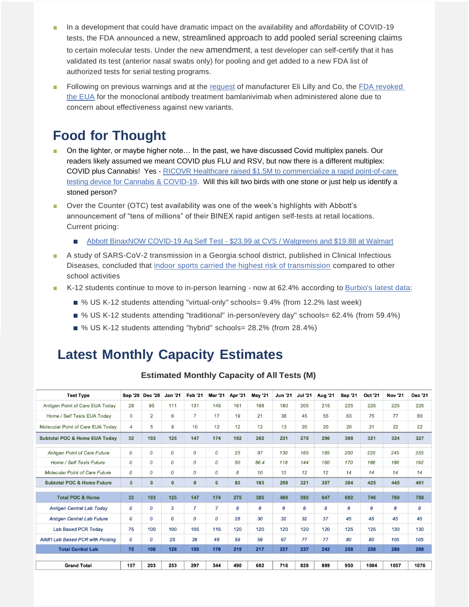- In a development that could have dramatic impact on the availability and affordability of COVID-19 tests, the FDA announced a [new, streamlined approach to add pooled serial screening claims](https://www.fda.gov/news-events/press-announcements/fda-announces-new-streamlined-approach-add-pooled-serial-screening-claims-certain-authorized-tests) to certain molecular tests. Under the new [amendment](https://www.fda.gov/medical-devices/coronavirus-disease-2019-covid-19-emergency-use-authorizations-medical-devices/in-vitro-diagnostics-euas-molecular-diagnostic-tests-sars-cov-2#amendment), a test developer can self-certify that it has validated its test (anterior nasal swabs only) for pooling and get added to a new FDA list of authorized tests for serial testing programs.
- Following on previous warnings and at the [request](https://www.reuters.com/business/healthcare-pharmaceuticals/lilly-asks-fda-revoke-authorization-lone-use-covid-19-drug-bamlanivimab-2021-04-16/) of manufacturer Eli Lilly and Co, the FDA revoked [the EUA](https://www.fda.gov/news-events/press-announcements/coronavirus-covid-19-update-fda-revokes-emergency-use-authorization-monoclonal-antibody-bamlanivimab) for the monoclonal antibody treatment bamlanivimab when administered alone due to concern about effectiveness against new variants.

### **Food for Thought**

- On the lighter, or maybe higher note... In the past, we have discussed Covid multiplex panels. Our readers likely assumed we meant COVID plus FLU and RSV, but now there is a different multiplex: COVID plus Cannabis! Yes - [RICOVR Healthcare raised \\$1.5M to commercialize a rapid point-of-care](https://www.globenewswire.com/news-release/2021/04/19/2212447/0/en/RICOVR-Healthcare-raises-1-5M-to-commercialize-rapid-point-of-care-testing-device-for-Cannabis-COVID-19.html)  [testing device for Cannabis & COVID-19.](https://www.globenewswire.com/news-release/2021/04/19/2212447/0/en/RICOVR-Healthcare-raises-1-5M-to-commercialize-rapid-point-of-care-testing-device-for-Cannabis-COVID-19.html) Will this kill two birds with one stone or just help us identify a stoned person?
- Over the Counter (OTC) test availability was one of the week's highlights with Abbott's announcement of "tens of millions" of their BINEX rapid antigen self-tests at retail locations. Current pricing:
	- Abbott BinaxNOW COVID-19 Ag Self Test [\\$23.99 at CVS / Walgreens and \\$19.88 at Walmart](https://abbott.mediaroom.com/2021-04-19-Abbott-Begins-Shipping-BinaxNOW-TM-COVID-19-Ag-Self-Test-to-Retailers-Today)
- A study of SARS-CoV-2 transmission in a Georgia school district, published in Clinical Infectious Diseases, concluded that [indoor sports carried the highest risk of transmission](https://academic.oup.com/cid/advance-article/doi/10.1093/cid/ciab332/6232104) compared to other school activities
- K-12 students continue to move to in-person learning now at 62.4% according to Burbio's [latest data:](https://cai.burbio.com/school-opening-tracker/)
	- % US K-12 students attending "virtual-only" schools= 9.4% (from 12.2% last week)
	- % US K-12 students attending "traditional" in-person/every day" schools= 62.4% (from 59.4%)
	- % US K-12 students attending "hybrid" schools= 28.2% (from 28.4%)

### **Latest Monthly Capacity Estimates**

| <b>Test Type</b>                         | <b>Sep '20</b>  | <b>Dec '20</b> | <b>Jan '21</b> | <b>Feb '21</b> | <b>Mar '21</b> | Apr '21 | <b>May '21</b> | <b>Jun '21</b> | <b>Jul '21</b> | <b>Aug '21</b> | <b>Sep '21</b> | Oct '21 | <b>Nov '21</b> | <b>Dec '21</b> |
|------------------------------------------|-----------------|----------------|----------------|----------------|----------------|---------|----------------|----------------|----------------|----------------|----------------|---------|----------------|----------------|
| Antigen Point of Care EUA Today          | 28              | 95             | 111            | 131            | 145            | 161     | 168            | 180            | 205            | 215            | 225            | 225     | 225            | 225            |
| Home / Self Tests EUA Today              | 0               | $\overline{2}$ | 6              | $\overline{7}$ | 17             | 19      | 21             | 38             | 45             | 55             | 63             | 75      | 77             | 80             |
| Molecular Point of Care EUA Today        | 4               | 5              | 8              | 10             | 12             | 12      | 12             | 13             | 20             | 20             | 20             | 21      | 22             | 22             |
| <b>Subtotal POC &amp; Home EUA Today</b> | 32              | 103            | 125            | 147            | 174            | 192     | 202            | 231            | 270            | 290            | 308            | 321     | 324            | 327            |
| <b>Antigen Point of Care Future</b>      | 0               | 0              | 0              | 0              | 0              | 25      | 87             | 130            | 165            | 185            | 200            | 225     | 245            | 255            |
| Home / Self Tests Future                 | 0               | 0              | 0              | 0              | 0              | 50      | 86.4           | 118            | 144            | 160            | 170            | 186     | 186            | 192            |
| <b>Molecular Point of Care Future</b>    | 0               | 0              | 0              | 0              | 0              | 8       | 10             | 10             | 12             | 12             | 14             | 14      | 14             | 14             |
| <b>Subtotal POC &amp; Home Future</b>    | $\mathbf 0$     | 0              | $\mathbf{0}$   | $\mathbf{0}$   | $\mathbf{0}$   | 83      | 183            | 258            | 321            | 357            | 384            | 425     | 445            | 461            |
| <b>Total POC &amp; Home</b>              | 32 <sub>2</sub> | 103            | 125            | 147            | 174            | 275     | 385            | 489            | 592            | 647            | 692            | 746     | 769            | 788            |
| <b>Antigen Central Lab Today</b>         | 0               | 0              | 3              | $\overline{7}$ | $\overline{7}$ | 8       | 8              | 8              | 8              | 8              | 8              | 8       | 8              | 8              |
| <b>Antigen Central Lab Future</b>        | 0               | 0              | 0              | 0              | 0              | 28      | 30             | 32             | 32             | 37             | 45             | 45      | 45             | 45             |
| <b>Lab Based PCR Todav</b>               | 75              | 100            | 100            | 105            | 115            | 120     | 120            | 120            | 120            | 120            | 125            | 125     | 130            | 130            |
| <b>Addt'l Lab Based PCR with Pooling</b> | 0               | 0              | 25             | 38             | 48             | 59      | 59             | 67             | 77             | 77             | 80             | 80      | 105            | 105            |
| <b>Total Central Lab</b>                 | 75              | 100            | 128            | 150            | 170            | 215     | 217            | 227            | 237            | 242            | 258            | 258     | 288            | 288            |
|                                          |                 |                |                |                |                |         |                |                |                |                |                |         |                |                |
| <b>Grand Total</b>                       | 107             | 203            | 253            | 297            | 344            | 490     | 602            | 716            | 828            | 889            | 950            | 1004    | 1057           | 1076           |

#### **Estimated Monthly Capacity of All Tests (M)**